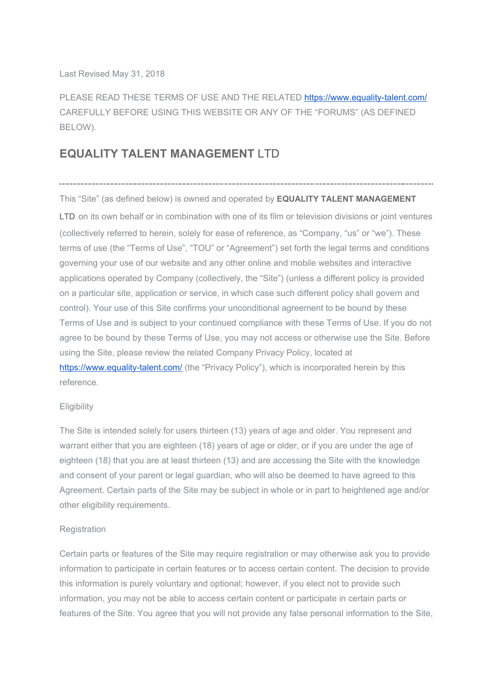Last Revised May 31, 2018

PLEASE READ THESE TERMS OF USE AND THE RELATED <https://www.equality-talent.com/> CAREFULLY BEFORE USING THIS WEBSITE OR ANY OF THE "FORUMS" (AS DEFINED BELOW).

# **EQUALITY TALENT MANAGEMENT** LTD

This "Site" (as defined below) is owned and operated by **EQUALITY TALENT MANAGEMENT**

LTD on its own behalf or in combination with one of its film or television divisions or joint ventures (collectively referred to herein, solely for ease of reference, as "Company, "us" or "we"). These terms of use (the "Terms of Use", "TOU" or "Agreement") set forth the legal terms and conditions governing your use of our website and any other online and mobile websites and interactive applications operated by Company (collectively, the "Site") (unless a different policy is provided on a particular site, application or service, in which case such different policy shall govern and control). Your use of this Site confirms your unconditional agreement to be bound by these Terms of Use and is subject to your continued compliance with these Terms of Use. If you do not agree to be bound by these Terms of Use, you may not access or otherwise use the Site. Before using the Site, please review the related Company Privacy Policy, located at <https://www.equality-talent.com/>(the "Privacy Policy"), which is incorporated herein by this reference.

## **Eligibility**

The Site is intended solely for users thirteen (13) years of age and older. You represent and warrant either that you are eighteen (18) years of age or older, or if you are under the age of eighteen (18) that you are at least thirteen (13) and are accessing the Site with the knowledge and consent of your parent or legal guardian, who will also be deemed to have agreed to this Agreement. Certain parts of the Site may be subject in whole or in part to heightened age and/or other eligibility requirements.

# **Registration**

Certain parts or features of the Site may require registration or may otherwise ask you to provide information to participate in certain features or to access certain content. The decision to provide this information is purely voluntary and optional; however, if you elect not to provide such information, you may not be able to access certain content or participate in certain parts or features of the Site. You agree that you will not provide any false personal information to the Site,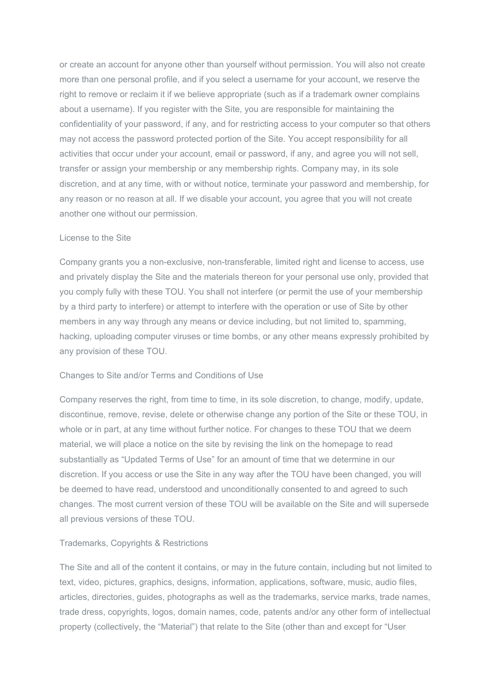or create an account for anyone other than yourself without permission. You will also not create more than one personal profile, and if you select a username for your account, we reserve the right to remove or reclaim it if we believe appropriate (such as if a trademark owner complains about a username). If you register with the Site, you are responsible for maintaining the confidentiality of your password, if any, and for restricting access to your computer so that others may not access the password protected portion of the Site. You accept responsibility for all activities that occur under your account, email or password, if any, and agree you will not sell, transfer or assign your membership or any membership rights. Company may, in its sole discretion, and at any time, with or without notice, terminate your password and membership, for any reason or no reason at all. If we disable your account, you agree that you will not create another one without our permission.

#### License to the Site

Company grants you a non-exclusive, non-transferable, limited right and license to access, use and privately display the Site and the materials thereon for your personal use only, provided that you comply fully with these TOU. You shall not interfere (or permit the use of your membership by a third party to interfere) or attempt to interfere with the operation or use of Site by other members in any way through any means or device including, but not limited to, spamming, hacking, uploading computer viruses or time bombs, or any other means expressly prohibited by any provision of these TOU.

## Changes to Site and/or Terms and Conditions of Use

Company reserves the right, from time to time, in its sole discretion, to change, modify, update, discontinue, remove, revise, delete or otherwise change any portion of the Site or these TOU, in whole or in part, at any time without further notice. For changes to these TOU that we deem material, we will place a notice on the site by revising the link on the homepage to read substantially as "Updated Terms of Use" for an amount of time that we determine in our discretion. If you access or use the Site in any way after the TOU have been changed, you will be deemed to have read, understood and unconditionally consented to and agreed to such changes. The most current version of these TOU will be available on the Site and will supersede all previous versions of these TOU.

#### Trademarks, Copyrights & Restrictions

The Site and all of the content it contains, or may in the future contain, including but not limited to text, video, pictures, graphics, designs, information, applications, software, music, audio files, articles, directories, guides, photographs as well as the trademarks, service marks, trade names, trade dress, copyrights, logos, domain names, code, patents and/or any other form of intellectual property (collectively, the "Material") that relate to the Site (other than and except for "User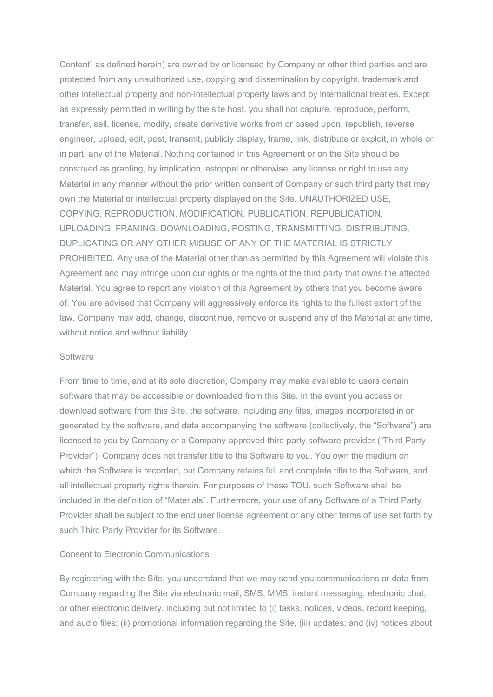Content" as defined herein) are owned by or licensed by Company or other third parties and are protected from any unauthorized use, copying and dissemination by copyright, trademark and other intellectual property and non-intellectual property laws and by international treaties. Except as expressly permitted in writing by the site host, you shall not capture, reproduce, perform, transfer, sell, license, modify, create derivative works from or based upon, republish, reverse engineer, upload, edit, post, transmit, publicly display, frame, link, distribute or exploit, in whole or in part, any of the Material. Nothing contained in this Agreement or on the Site should be construed as granting, by implication, estoppel or otherwise, any license or right to use any Material in any manner without the prior written consent of Company or such third party that may own the Material or intellectual property displayed on the Site. UNAUTHORIZED USE, COPYING, REPRODUCTION, MODIFICATION, PUBLICATION, REPUBLICATION, UPLOADING, FRAMING, DOWNLOADING, POSTING, TRANSMITTING, DISTRIBUTING, DUPLICATING OR ANY OTHER MISUSE OF ANY OF THE MATERIAL IS STRICTLY PROHIBITED. Any use of the Material other than as permitted by this Agreement will violate this Agreement and may infringe upon our rights or the rights of the third party that owns the affected Material. You agree to report any violation of this Agreement by others that you become aware of. You are advised that Company will aggressively enforce its rights to the fullest extent of the law. Company may add, change, discontinue, remove or suspend any of the Material at any time, without notice and without liability.

#### **Software**

From time to time, and at its sole discretion, Company may make available to users certain software that may be accessible or downloaded from this Site. In the event you access or download software from this Site, the software, including any files, images incorporated in or generated by the software, and data accompanying the software (collectively, the "Software") are licensed to you by Company or a Company-approved third party software provider ("Third Party Provider"). Company does not transfer title to the Software to you. You own the medium on which the Software is recorded, but Company retains full and complete title to the Software, and all intellectual property rights therein. For purposes of these TOU, such Software shall be included in the definition of "Materials". Furthermore, your use of any Software of a Third Party Provider shall be subject to the end user license agreement or any other terms of use set forth by such Third Party Provider for its Software.

#### Consent to Electronic Communications

By registering with the Site, you understand that we may send you communications or data from Company regarding the Site via electronic mail, SMS, MMS, instant messaging, electronic chat, or other electronic delivery, including but not limited to (i) tasks, notices, videos, record keeping, and audio files; (ii) promotional information regarding the Site, (iii) updates; and (iv) notices about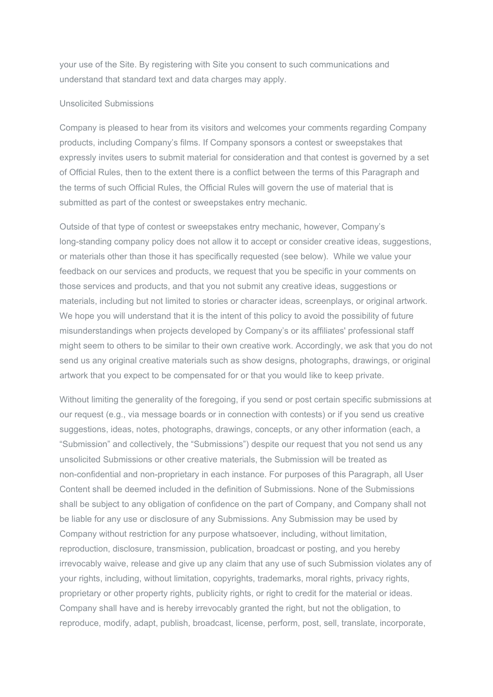your use of the Site. By registering with Site you consent to such communications and understand that standard text and data charges may apply.

## Unsolicited Submissions

Company is pleased to hear from its visitors and welcomes your comments regarding Company products, including Company's films. If Company sponsors a contest or sweepstakes that expressly invites users to submit material for consideration and that contest is governed by a set of Official Rules, then to the extent there is a conflict between the terms of this Paragraph and the terms of such Official Rules, the Official Rules will govern the use of material that is submitted as part of the contest or sweepstakes entry mechanic.

Outside of that type of contest or sweepstakes entry mechanic, however, Company's long-standing company policy does not allow it to accept or consider creative ideas, suggestions, or materials other than those it has specifically requested (see below). While we value your feedback on our services and products, we request that you be specific in your comments on those services and products, and that you not submit any creative ideas, suggestions or materials, including but not limited to stories or character ideas, screenplays, or original artwork. We hope you will understand that it is the intent of this policy to avoid the possibility of future misunderstandings when projects developed by Company's or its affiliates' professional staff might seem to others to be similar to their own creative work. Accordingly, we ask that you do not send us any original creative materials such as show designs, photographs, drawings, or original artwork that you expect to be compensated for or that you would like to keep private.

Without limiting the generality of the foregoing, if you send or post certain specific submissions at our request (e.g., via message boards or in connection with contests) or if you send us creative suggestions, ideas, notes, photographs, drawings, concepts, or any other information (each, a "Submission" and collectively, the "Submissions") despite our request that you not send us any unsolicited Submissions or other creative materials, the Submission will be treated as non-confidential and non-proprietary in each instance. For purposes of this Paragraph, all User Content shall be deemed included in the definition of Submissions. None of the Submissions shall be subject to any obligation of confidence on the part of Company, and Company shall not be liable for any use or disclosure of any Submissions. Any Submission may be used by Company without restriction for any purpose whatsoever, including, without limitation, reproduction, disclosure, transmission, publication, broadcast or posting, and you hereby irrevocably waive, release and give up any claim that any use of such Submission violates any of your rights, including, without limitation, copyrights, trademarks, moral rights, privacy rights, proprietary or other property rights, publicity rights, or right to credit for the material or ideas. Company shall have and is hereby irrevocably granted the right, but not the obligation, to reproduce, modify, adapt, publish, broadcast, license, perform, post, sell, translate, incorporate,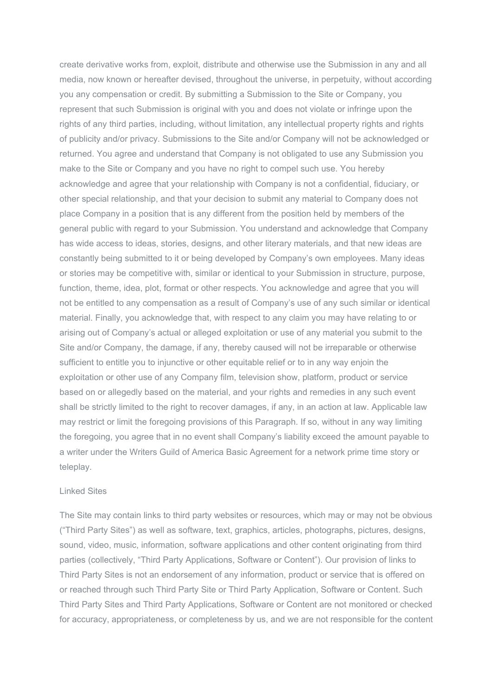create derivative works from, exploit, distribute and otherwise use the Submission in any and all media, now known or hereafter devised, throughout the universe, in perpetuity, without according you any compensation or credit. By submitting a Submission to the Site or Company, you represent that such Submission is original with you and does not violate or infringe upon the rights of any third parties, including, without limitation, any intellectual property rights and rights of publicity and/or privacy. Submissions to the Site and/or Company will not be acknowledged or returned. You agree and understand that Company is not obligated to use any Submission you make to the Site or Company and you have no right to compel such use. You hereby acknowledge and agree that your relationship with Company is not a confidential, fiduciary, or other special relationship, and that your decision to submit any material to Company does not place Company in a position that is any different from the position held by members of the general public with regard to your Submission. You understand and acknowledge that Company has wide access to ideas, stories, designs, and other literary materials, and that new ideas are constantly being submitted to it or being developed by Company's own employees. Many ideas or stories may be competitive with, similar or identical to your Submission in structure, purpose, function, theme, idea, plot, format or other respects. You acknowledge and agree that you will not be entitled to any compensation as a result of Company's use of any such similar or identical material. Finally, you acknowledge that, with respect to any claim you may have relating to or arising out of Company's actual or alleged exploitation or use of any material you submit to the Site and/or Company, the damage, if any, thereby caused will not be irreparable or otherwise sufficient to entitle you to injunctive or other equitable relief or to in any way enjoin the exploitation or other use of any Company film, television show, platform, product or service based on or allegedly based on the material, and your rights and remedies in any such event shall be strictly limited to the right to recover damages, if any, in an action at law. Applicable law may restrict or limit the foregoing provisions of this Paragraph. If so, without in any way limiting the foregoing, you agree that in no event shall Company's liability exceed the amount payable to a writer under the Writers Guild of America Basic Agreement for a network prime time story or teleplay.

#### Linked Sites

The Site may contain links to third party websites or resources, which may or may not be obvious ("Third Party Sites") as well as software, text, graphics, articles, photographs, pictures, designs, sound, video, music, information, software applications and other content originating from third parties (collectively, "Third Party Applications, Software or Content"). Our provision of links to Third Party Sites is not an endorsement of any information, product or service that is offered on or reached through such Third Party Site or Third Party Application, Software or Content. Such Third Party Sites and Third Party Applications, Software or Content are not monitored or checked for accuracy, appropriateness, or completeness by us, and we are not responsible for the content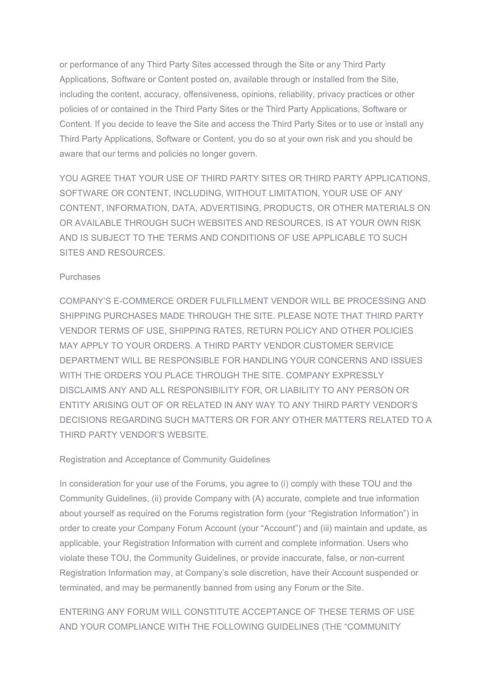or performance of any Third Party Sites accessed through the Site or any Third Party Applications, Software or Content posted on, available through or installed from the Site, including the content, accuracy, offensiveness, opinions, reliability, privacy practices or other policies of or contained in the Third Party Sites or the Third Party Applications, Software or Content. If you decide to leave the Site and access the Third Party Sites or to use or install any Third Party Applications, Software or Content, you do so at your own risk and you should be aware that our terms and policies no longer govern.

YOU AGREE THAT YOUR USE OF THIRD PARTY SITES OR THIRD PARTY APPLICATIONS, SOFTWARE OR CONTENT, INCLUDING, WITHOUT LIMITATION, YOUR USE OF ANY CONTENT, INFORMATION, DATA, ADVERTISING, PRODUCTS, OR OTHER MATERIALS ON OR AVAILABLE THROUGH SUCH WEBSITES AND RESOURCES, IS AT YOUR OWN RISK AND IS SUBJECT TO THE TERMS AND CONDITIONS OF USE APPLICABLE TO SUCH SITES AND RESOURCES.

## Purchases

COMPANY'S E-COMMERCE ORDER FULFILLMENT VENDOR WILL BE PROCESSING AND SHIPPING PURCHASES MADE THROUGH THE SITE. PLEASE NOTE THAT THIRD PARTY VENDOR TERMS OF USE, SHIPPING RATES, RETURN POLICY AND OTHER POLICIES MAY APPLY TO YOUR ORDERS. A THIRD PARTY VENDOR CUSTOMER SERVICE DEPARTMENT WILL BE RESPONSIBLE FOR HANDLING YOUR CONCERNS AND ISSUES WITH THE ORDERS YOU PLACE THROUGH THE SITE. COMPANY EXPRESSLY DISCLAIMS ANY AND ALL RESPONSIBILITY FOR, OR LIABILITY TO ANY PERSON OR ENTITY ARISING OUT OF OR RELATED IN ANY WAY TO ANY THIRD PARTY VENDOR'S DECISIONS REGARDING SUCH MATTERS OR FOR ANY OTHER MATTERS RELATED TO A THIRD PARTY VENDOR'S WEBSITE.

## Registration and Acceptance of Community Guidelines

In consideration for your use of the Forums, you agree to (i) comply with these TOU and the Community Guidelines, (ii) provide Company with (A) accurate, complete and true information about yourself as required on the Forums registration form (your "Registration Information") in order to create your Company Forum Account (your "Account") and (iii) maintain and update, as applicable, your Registration Information with current and complete information. Users who violate these TOU, the Community Guidelines, or provide inaccurate, false, or non-current Registration Information may, at Company's sole discretion, have their Account suspended or terminated, and may be permanently banned from using any Forum or the Site.

# ENTERING ANY FORUM WILL CONSTITUTE ACCEPTANCE OF THESE TERMS OF USE AND YOUR COMPLIANCE WITH THE FOLLOWING GUIDELINES (THE "COMMUNITY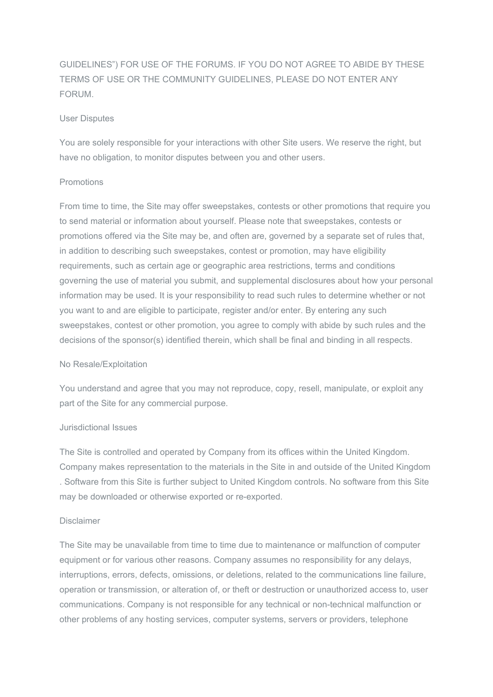GUIDELINES") FOR USE OF THE FORUMS. IF YOU DO NOT AGREE TO ABIDE BY THESE TERMS OF USE OR THE COMMUNITY GUIDELINES, PLEASE DO NOT ENTER ANY FORUM.

## User Disputes

You are solely responsible for your interactions with other Site users. We reserve the right, but have no obligation, to monitor disputes between you and other users.

## Promotions

From time to time, the Site may offer sweepstakes, contests or other promotions that require you to send material or information about yourself. Please note that sweepstakes, contests or promotions offered via the Site may be, and often are, governed by a separate set of rules that, in addition to describing such sweepstakes, contest or promotion, may have eligibility requirements, such as certain age or geographic area restrictions, terms and conditions governing the use of material you submit, and supplemental disclosures about how your personal information may be used. It is your responsibility to read such rules to determine whether or not you want to and are eligible to participate, register and/or enter. By entering any such sweepstakes, contest or other promotion, you agree to comply with abide by such rules and the decisions of the sponsor(s) identified therein, which shall be final and binding in all respects.

## No Resale/Exploitation

You understand and agree that you may not reproduce, copy, resell, manipulate, or exploit any part of the Site for any commercial purpose.

## Jurisdictional Issues

The Site is controlled and operated by Company from its offices within the United Kingdom. Company makes representation to the materials in the Site in and outside of the United Kingdom . Software from this Site is further subject to United Kingdom controls. No software from this Site may be downloaded or otherwise exported or re-exported.

## Disclaimer

The Site may be unavailable from time to time due to maintenance or malfunction of computer equipment or for various other reasons. Company assumes no responsibility for any delays, interruptions, errors, defects, omissions, or deletions, related to the communications line failure, operation or transmission, or alteration of, or theft or destruction or unauthorized access to, user communications. Company is not responsible for any technical or non-technical malfunction or other problems of any hosting services, computer systems, servers or providers, telephone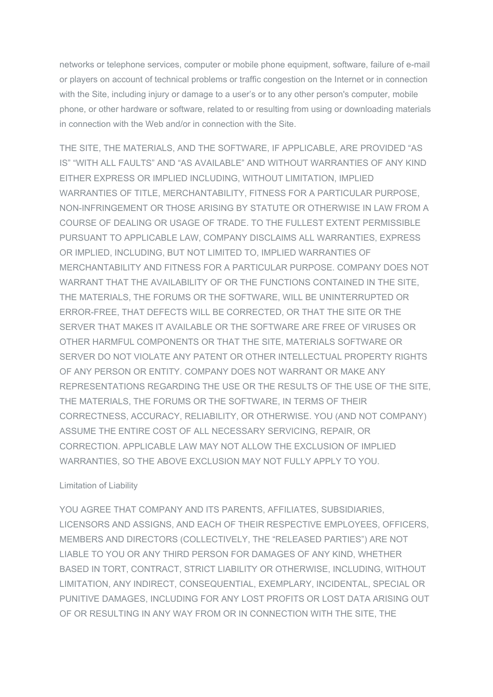networks or telephone services, computer or mobile phone equipment, software, failure of e-mail or players on account of technical problems or traffic congestion on the Internet or in connection with the Site, including injury or damage to a user's or to any other person's computer, mobile phone, or other hardware or software, related to or resulting from using or downloading materials in connection with the Web and/or in connection with the Site.

THE SITE, THE MATERIALS, AND THE SOFTWARE, IF APPLICABLE, ARE PROVIDED "AS IS" "WITH ALL FAULTS" AND "AS AVAILABLE" AND WITHOUT WARRANTIES OF ANY KIND EITHER EXPRESS OR IMPLIED INCLUDING, WITHOUT LIMITATION, IMPLIED WARRANTIES OF TITLE, MERCHANTABILITY, FITNESS FOR A PARTICULAR PURPOSE, NON-INFRINGEMENT OR THOSE ARISING BY STATUTE OR OTHERWISE IN LAW FROM A COURSE OF DEALING OR USAGE OF TRADE. TO THE FULLEST EXTENT PERMISSIBLE PURSUANT TO APPLICABLE LAW, COMPANY DISCLAIMS ALL WARRANTIES, EXPRESS OR IMPLIED, INCLUDING, BUT NOT LIMITED TO, IMPLIED WARRANTIES OF MERCHANTABILITY AND FITNESS FOR A PARTICULAR PURPOSE. COMPANY DOES NOT WARRANT THAT THE AVAILABILITY OF OR THE FUNCTIONS CONTAINED IN THE SITE, THE MATERIALS, THE FORUMS OR THE SOFTWARE, WILL BE UNINTERRUPTED OR ERROR-FREE, THAT DEFECTS WILL BE CORRECTED, OR THAT THE SITE OR THE SERVER THAT MAKES IT AVAILABLE OR THE SOFTWARE ARE FREE OF VIRUSES OR OTHER HARMFUL COMPONENTS OR THAT THE SITE, MATERIALS SOFTWARE OR SERVER DO NOT VIOLATE ANY PATENT OR OTHER INTELLECTUAL PROPERTY RIGHTS OF ANY PERSON OR ENTITY. COMPANY DOES NOT WARRANT OR MAKE ANY REPRESENTATIONS REGARDING THE USE OR THE RESULTS OF THE USE OF THE SITE, THE MATERIALS, THE FORUMS OR THE SOFTWARE, IN TERMS OF THEIR CORRECTNESS, ACCURACY, RELIABILITY, OR OTHERWISE. YOU (AND NOT COMPANY) ASSUME THE ENTIRE COST OF ALL NECESSARY SERVICING, REPAIR, OR CORRECTION. APPLICABLE LAW MAY NOT ALLOW THE EXCLUSION OF IMPLIED WARRANTIES, SO THE ABOVE EXCLUSION MAY NOT FULLY APPLY TO YOU.

# Limitation of Liability

YOU AGREE THAT COMPANY AND ITS PARENTS, AFFILIATES, SUBSIDIARIES, LICENSORS AND ASSIGNS, AND EACH OF THEIR RESPECTIVE EMPLOYEES, OFFICERS, MEMBERS AND DIRECTORS (COLLECTIVELY, THE "RELEASED PARTIES") ARE NOT LIABLE TO YOU OR ANY THIRD PERSON FOR DAMAGES OF ANY KIND, WHETHER BASED IN TORT, CONTRACT, STRICT LIABILITY OR OTHERWISE, INCLUDING, WITHOUT LIMITATION, ANY INDIRECT, CONSEQUENTIAL, EXEMPLARY, INCIDENTAL, SPECIAL OR PUNITIVE DAMAGES, INCLUDING FOR ANY LOST PROFITS OR LOST DATA ARISING OUT OF OR RESULTING IN ANY WAY FROM OR IN CONNECTION WITH THE SITE, THE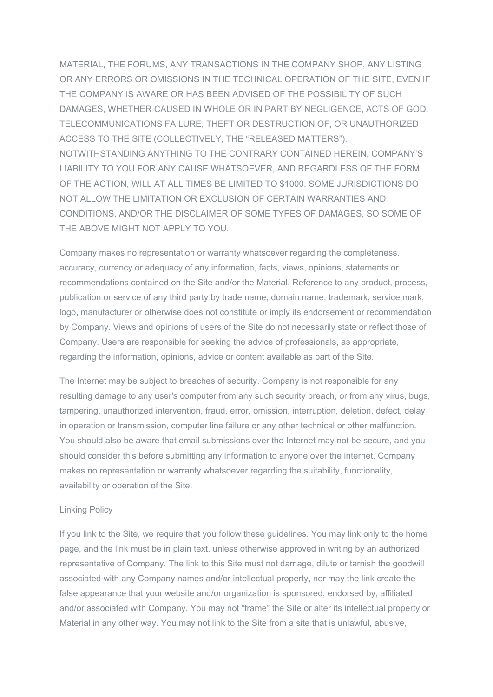MATERIAL, THE FORUMS, ANY TRANSACTIONS IN THE COMPANY SHOP, ANY LISTING OR ANY ERRORS OR OMISSIONS IN THE TECHNICAL OPERATION OF THE SITE, EVEN IF THE COMPANY IS AWARE OR HAS BEEN ADVISED OF THE POSSIBILITY OF SUCH DAMAGES, WHETHER CAUSED IN WHOLE OR IN PART BY NEGLIGENCE, ACTS OF GOD, TELECOMMUNICATIONS FAILURE, THEFT OR DESTRUCTION OF, OR UNAUTHORIZED ACCESS TO THE SITE (COLLECTIVELY, THE "RELEASED MATTERS"). NOTWITHSTANDING ANYTHING TO THE CONTRARY CONTAINED HEREIN, COMPANY'S LIABILITY TO YOU FOR ANY CAUSE WHATSOEVER, AND REGARDLESS OF THE FORM OF THE ACTION, WILL AT ALL TIMES BE LIMITED TO \$1000. SOME JURISDICTIONS DO NOT ALLOW THE LIMITATION OR EXCLUSION OF CERTAIN WARRANTIES AND CONDITIONS, AND/OR THE DISCLAIMER OF SOME TYPES OF DAMAGES, SO SOME OF THE ABOVE MIGHT NOT APPLY TO YOU.

Company makes no representation or warranty whatsoever regarding the completeness, accuracy, currency or adequacy of any information, facts, views, opinions, statements or recommendations contained on the Site and/or the Material. Reference to any product, process, publication or service of any third party by trade name, domain name, trademark, service mark, logo, manufacturer or otherwise does not constitute or imply its endorsement or recommendation by Company. Views and opinions of users of the Site do not necessarily state or reflect those of Company. Users are responsible for seeking the advice of professionals, as appropriate, regarding the information, opinions, advice or content available as part of the Site.

The Internet may be subject to breaches of security. Company is not responsible for any resulting damage to any user's computer from any such security breach, or from any virus, bugs, tampering, unauthorized intervention, fraud, error, omission, interruption, deletion, defect, delay in operation or transmission, computer line failure or any other technical or other malfunction. You should also be aware that email submissions over the Internet may not be secure, and you should consider this before submitting any information to anyone over the internet. Company makes no representation or warranty whatsoever regarding the suitability, functionality, availability or operation of the Site.

## Linking Policy

If you link to the Site, we require that you follow these guidelines. You may link only to the home page, and the link must be in plain text, unless otherwise approved in writing by an authorized representative of Company. The link to this Site must not damage, dilute or tarnish the goodwill associated with any Company names and/or intellectual property, nor may the link create the false appearance that your website and/or organization is sponsored, endorsed by, affiliated and/or associated with Company. You may not "frame" the Site or alter its intellectual property or Material in any other way. You may not link to the Site from a site that is unlawful, abusive,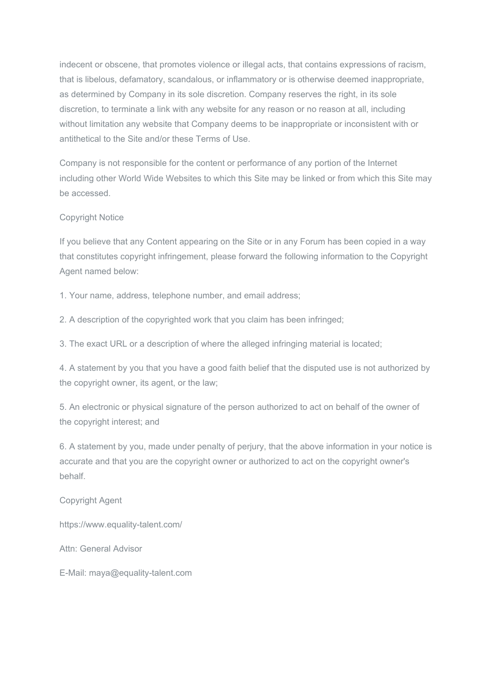indecent or obscene, that promotes violence or illegal acts, that contains expressions of racism, that is libelous, defamatory, scandalous, or inflammatory or is otherwise deemed inappropriate, as determined by Company in its sole discretion. Company reserves the right, in its sole discretion, to terminate a link with any website for any reason or no reason at all, including without limitation any website that Company deems to be inappropriate or inconsistent with or antithetical to the Site and/or these Terms of Use.

Company is not responsible for the content or performance of any portion of the Internet including other World Wide Websites to which this Site may be linked or from which this Site may be accessed.

# Copyright Notice

If you believe that any Content appearing on the Site or in any Forum has been copied in a way that constitutes copyright infringement, please forward the following information to the Copyright Agent named below:

1. Your name, address, telephone number, and email address;

2. A description of the copyrighted work that you claim has been infringed;

3. The exact URL or a description of where the alleged infringing material is located;

4. A statement by you that you have a good faith belief that the disputed use is not authorized by the copyright owner, its agent, or the law;

5. An electronic or physical signature of the person authorized to act on behalf of the owner of the copyright interest; and

6. A statement by you, made under penalty of perjury, that the above information in your notice is accurate and that you are the copyright owner or authorized to act on the copyright owner's behalf.

# Copyright Agent

https://www.equality-talent.com/

Attn: General Advisor

E-Mail: maya@equality-talent.com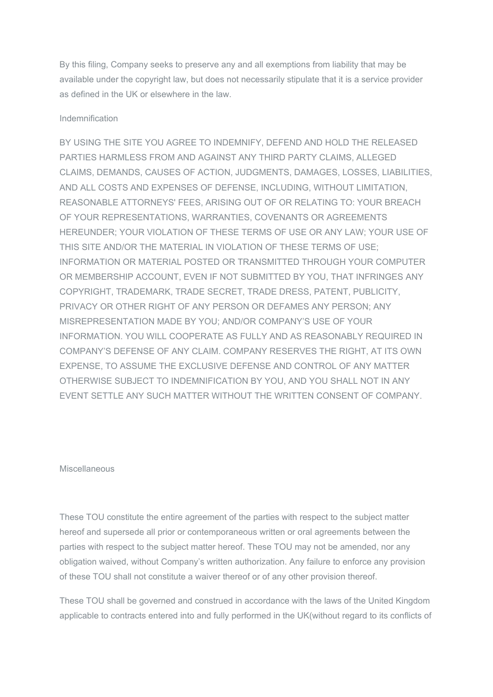By this filing, Company seeks to preserve any and all exemptions from liability that may be available under the copyright law, but does not necessarily stipulate that it is a service provider as defined in the UK or elsewhere in the law.

## Indemnification

BY USING THE SITE YOU AGREE TO INDEMNIFY, DEFEND AND HOLD THE RELEASED PARTIES HARMLESS FROM AND AGAINST ANY THIRD PARTY CLAIMS, ALLEGED CLAIMS, DEMANDS, CAUSES OF ACTION, JUDGMENTS, DAMAGES, LOSSES, LIABILITIES, AND ALL COSTS AND EXPENSES OF DEFENSE, INCLUDING, WITHOUT LIMITATION, REASONABLE ATTORNEYS' FEES, ARISING OUT OF OR RELATING TO: YOUR BREACH OF YOUR REPRESENTATIONS, WARRANTIES, COVENANTS OR AGREEMENTS HEREUNDER; YOUR VIOLATION OF THESE TERMS OF USE OR ANY LAW; YOUR USE OF THIS SITE AND/OR THE MATERIAL IN VIOLATION OF THESE TERMS OF USE; INFORMATION OR MATERIAL POSTED OR TRANSMITTED THROUGH YOUR COMPUTER OR MEMBERSHIP ACCOUNT, EVEN IF NOT SUBMITTED BY YOU, THAT INFRINGES ANY COPYRIGHT, TRADEMARK, TRADE SECRET, TRADE DRESS, PATENT, PUBLICITY, PRIVACY OR OTHER RIGHT OF ANY PERSON OR DEFAMES ANY PERSON; ANY MISREPRESENTATION MADE BY YOU; AND/OR COMPANY'S USE OF YOUR INFORMATION. YOU WILL COOPERATE AS FULLY AND AS REASONABLY REQUIRED IN COMPANY'S DEFENSE OF ANY CLAIM. COMPANY RESERVES THE RIGHT, AT ITS OWN EXPENSE, TO ASSUME THE EXCLUSIVE DEFENSE AND CONTROL OF ANY MATTER OTHERWISE SUBJECT TO INDEMNIFICATION BY YOU, AND YOU SHALL NOT IN ANY EVENT SETTLE ANY SUCH MATTER WITHOUT THE WRITTEN CONSENT OF COMPANY.

## Miscellaneous

These TOU constitute the entire agreement of the parties with respect to the subject matter hereof and supersede all prior or contemporaneous written or oral agreements between the parties with respect to the subject matter hereof. These TOU may not be amended, nor any obligation waived, without Company's written authorization. Any failure to enforce any provision of these TOU shall not constitute a waiver thereof or of any other provision thereof.

These TOU shall be governed and construed in accordance with the laws of the United Kingdom applicable to contracts entered into and fully performed in the UK(without regard to its conflicts of